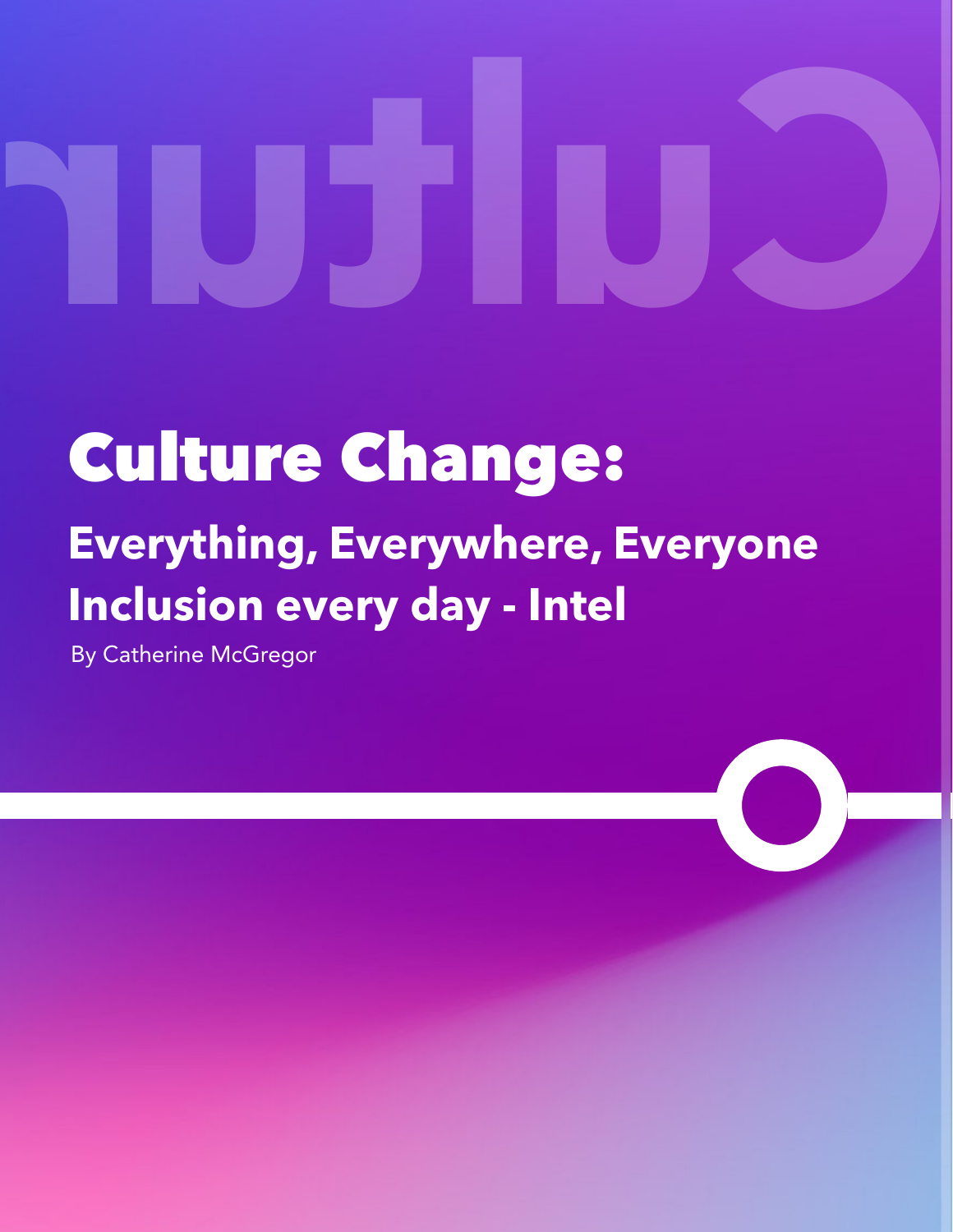# Change Culture

# Culture Change: **Everything, Everywhere, Everyone Inclusion every day - Intel**

By Catherine McGregor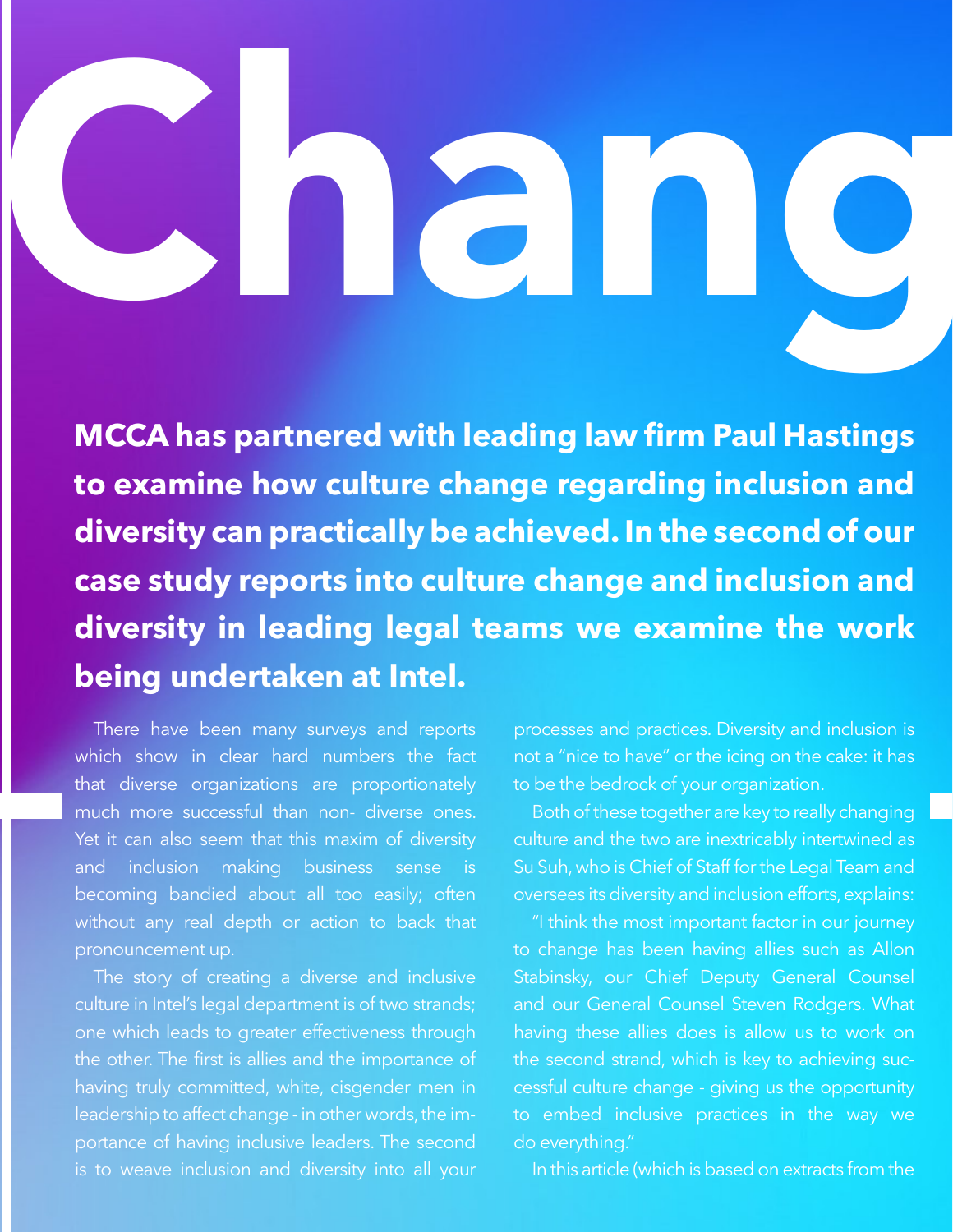# Chang

**MCCA has partnered with leading law firm Paul Hastings to examine how culture change regarding inclusion and diversity can practically be achieved. In the second of our case study reports into culture change and inclusion and diversity in leading legal teams we examine the work being undertaken at Intel.**

There have been many surveys and reports which show in clear hard numbers the fact that diverse organizations are proportionately much more successful than non- diverse ones. Yet it can also seem that this maxim of diversity and inclusion making business sense is becoming bandied about all too easily; often without any real depth or action to back that pronouncement up.

The story of creating a diverse and inclusive culture in Intel's legal department is of two strands; one which leads to greater effectiveness through the other. The first is allies and the importance of having truly committed, white, cisgender men in leadership to affect change - in other words, the importance of having inclusive leaders. The second

processes and practices. Diversity and inclusion is not a "nice to have" or the icing on the cake: it has to be the bedrock of your organization.

Both of these together are key to really changing culture and the two are inextricably intertwined as Su Suh, who is Chief of Staff for the Legal Team and oversees its diversity and inclusion efforts, explains:

"I think the most important factor in our journey to change has been having allies such as Allon Stabinsky, our Chief Deputy General Counsel and our General Counsel Steven Rodgers. What having these allies does is allow us to work on the second strand, which is key to achieving successful culture change - giving us the opportunity to embed inclusive practices in the way we do everything."

In this article (which is based on extracts from the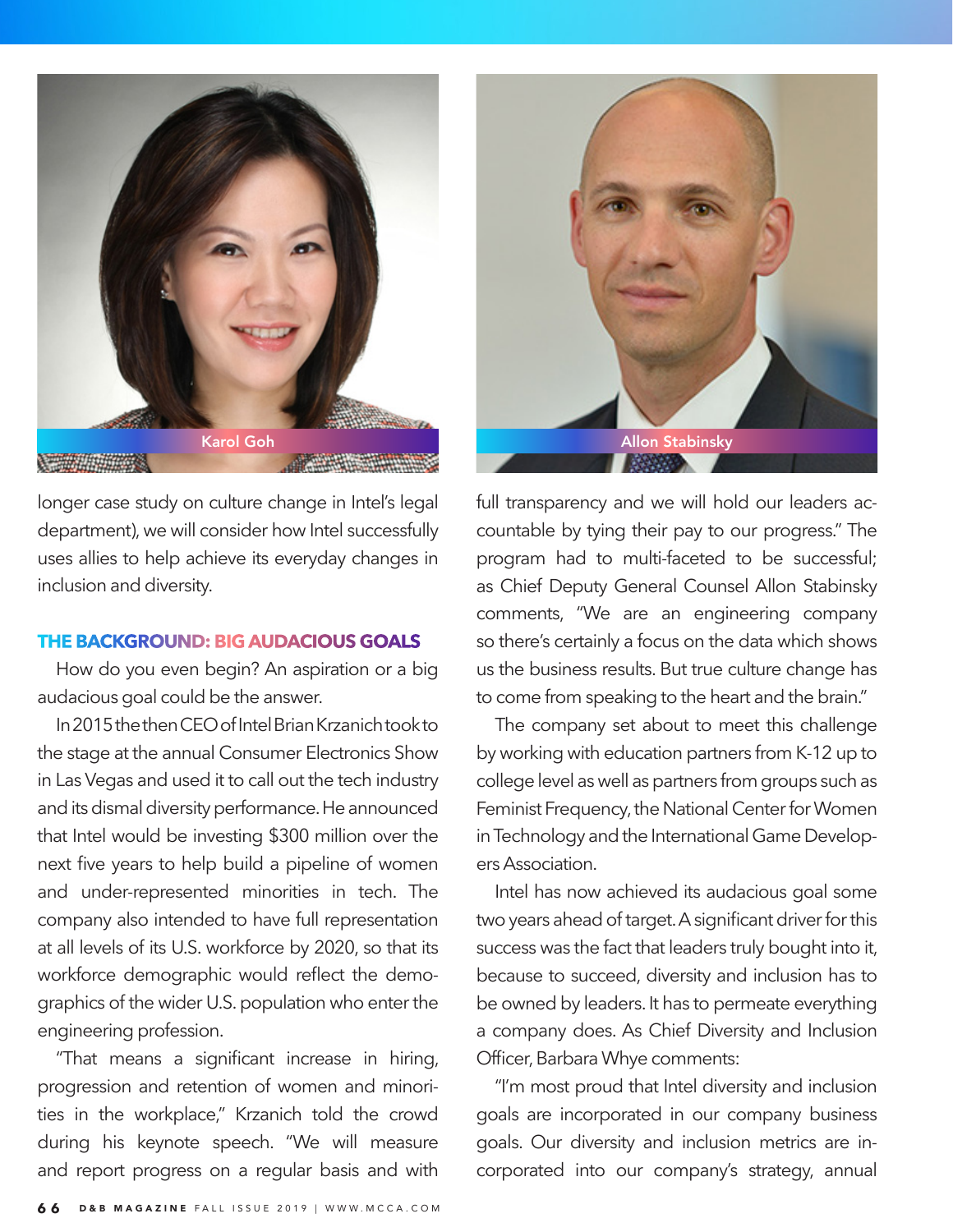

longer case study on culture change in Intel's legal department), we will consider how Intel successfully uses allies to help achieve its everyday changes in inclusion and diversity.

### **THE BACKGROUND: BIG AUDACIOUS GOALS**

How do you even begin? An aspiration or a big audacious goal could be the answer.

In 2015 the then CEO of Intel Brian Krzanich took to the stage at the annual Consumer Electronics Show in Las Vegas and used it to call out the tech industry and its dismal diversity performance. He announced that Intel would be investing \$300 million over the next five years to help build a pipeline of women and under-represented minorities in tech. The company also intended to have full representation at all levels of its U.S. workforce by 2020, so that its workforce demographic would reflect the demographics of the wider U.S. population who enter the engineering profession.

"That means a significant increase in hiring, progression and retention of women and minorities in the workplace," Krzanich told the crowd during his keynote speech. "We will measure and report progress on a regular basis and with



full transparency and we will hold our leaders accountable by tying their pay to our progress." The program had to multi-faceted to be successful; as Chief Deputy General Counsel Allon Stabinsky comments, "We are an engineering company so there's certainly a focus on the data which shows us the business results. But true culture change has to come from speaking to the heart and the brain."

The company set about to meet this challenge by working with education partners from K-12 up to college level as well as partners from groups such as Feminist Frequency, the National Center for Women in Technology and the International Game Developers Association.

Intel has now achieved its audacious goal some two years ahead of target. A significant driver for this success was the fact that leaders truly bought into it, because to succeed, diversity and inclusion has to be owned by leaders. It has to permeate everything a company does. As Chief Diversity and Inclusion Officer, Barbara Whye comments:

"I'm most proud that Intel diversity and inclusion goals are incorporated in our company business goals. Our diversity and inclusion metrics are incorporated into our company's strategy, annual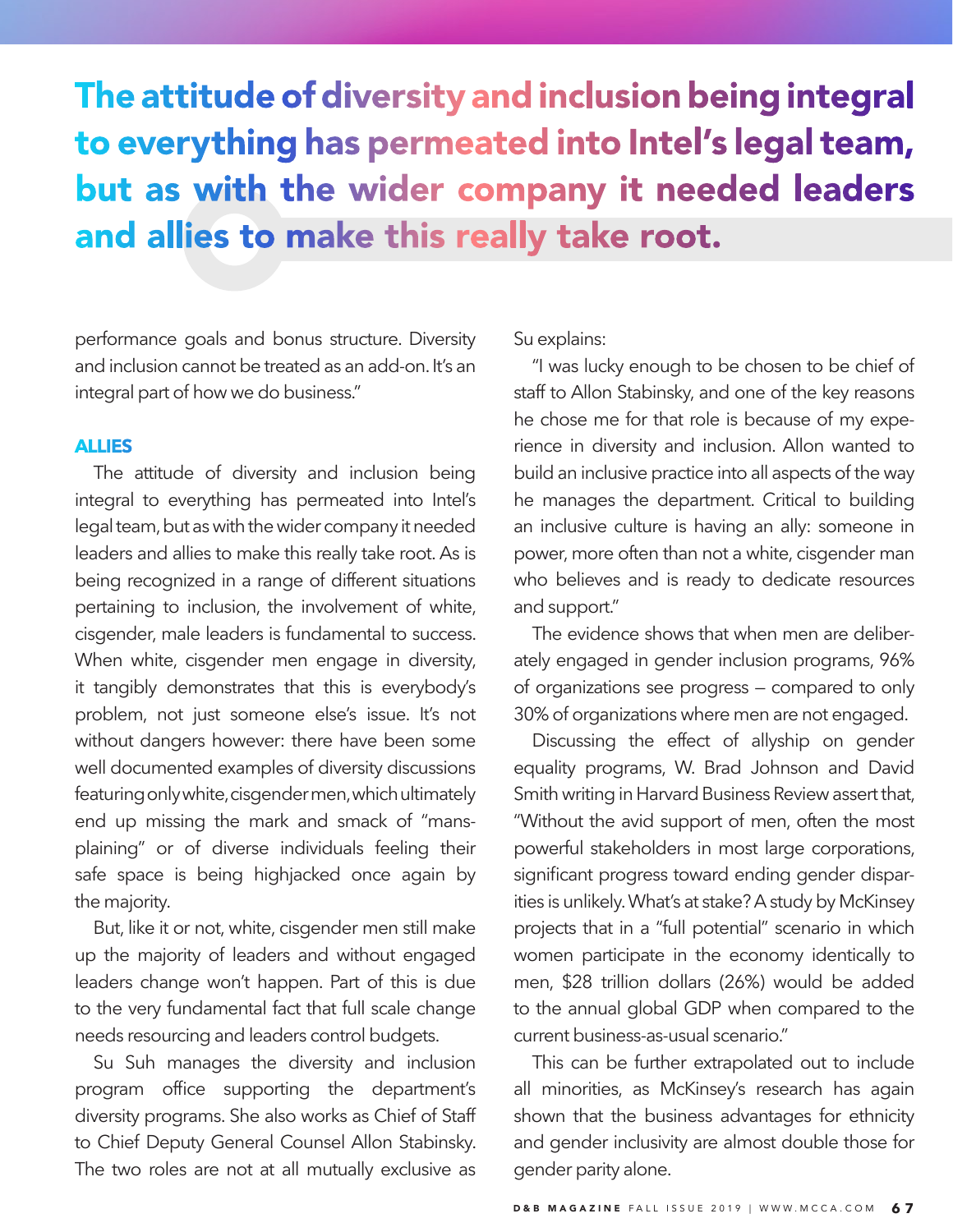The attitude of diversity and inclusion being integral to everything has permeated into Intel's legal team, but as with the wider company it needed leaders and allies to make this really take root.

performance goals and bonus structure. Diversity and inclusion cannot be treated as an add-on. It's an integral part of how we do business."

## **ALLIES**

The attitude of diversity and inclusion being integral to everything has permeated into Intel's legal team, but as with the wider company it needed leaders and allies to make this really take root. As is being recognized in a range of different situations pertaining to inclusion, the involvement of white, cisgender, male leaders is fundamental to success. When white, cisgender men engage in diversity, it tangibly demonstrates that this is everybody's problem, not just someone else's issue. It's not without dangers however: there have been some well documented examples of diversity discussions featuring only white, cisgender men, which ultimately end up missing the mark and smack of "mansplaining" or of diverse individuals feeling their safe space is being highjacked once again by the majority.

But, like it or not, white, cisgender men still make up the majority of leaders and without engaged leaders change won't happen. Part of this is due to the very fundamental fact that full scale change needs resourcing and leaders control budgets.

Su Suh manages the diversity and inclusion program office supporting the department's diversity programs. She also works as Chief of Staff to Chief Deputy General Counsel Allon Stabinsky. The two roles are not at all mutually exclusive as

Su explains:

"I was lucky enough to be chosen to be chief of staff to Allon Stabinsky, and one of the key reasons he chose me for that role is because of my experience in diversity and inclusion. Allon wanted to build an inclusive practice into all aspects of the way he manages the department. Critical to building an inclusive culture is having an ally: someone in power, more often than not a white, cisgender man who believes and is ready to dedicate resources and support."

The evidence shows that when men are deliberately engaged in gender inclusion programs, 96% of organizations see progress — compared to only 30% of organizations where men are not engaged.

Discussing the effect of allyship on gender equality programs, W. Brad Johnson and David Smith writing in Harvard Business Review assert that, "Without the avid support of men, often the most powerful stakeholders in most large corporations, significant progress toward ending gender disparities is unlikely. What's at stake? A study by McKinsey projects that in a "full potential" scenario in which women participate in the economy identically to men, \$28 trillion dollars (26%) would be added to the annual global GDP when compared to the current business-as-usual scenario."

This can be further extrapolated out to include all minorities, as McKinsey's research has again shown that the business advantages for ethnicity and gender inclusivity are almost double those for gender parity alone.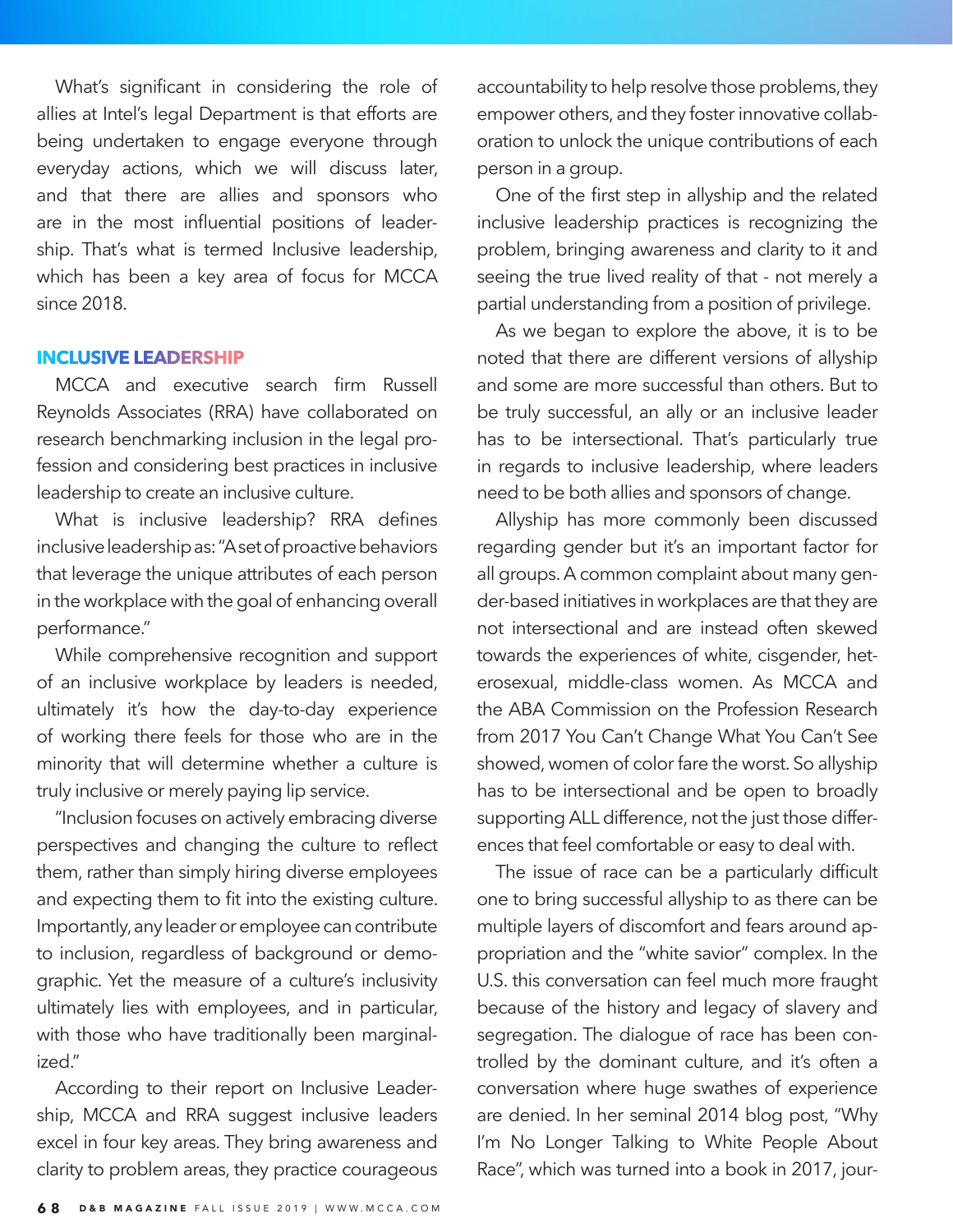What's significant in considering the role of allies at Intel's legal Department is that efforts are being undertaken to engage everyone through everyday actions, which we will discuss later, and that there are allies and sponsors who are in the most influential positions of leadership. That's what is termed Inclusive leadership, which has been a key area of focus for MCCA since 2018.

### **INCLUSIVE LEADERSHIP**

MCCA and executive search firm Russell Reynolds Associates (RRA) have collaborated on research benchmarking inclusion in the legal profession and considering best practices in inclusive leadership to create an inclusive culture.

What is inclusive leadership? RRA defines inclusive leadership as: "A set of proactive behaviors that leverage the unique attributes of each person in the workplace with the goal of enhancing overall performance."

While comprehensive recognition and support of an inclusive workplace by leaders is needed, ultimately it's how the day-to-day experience of working there feels for those who are in the minority that will determine whether a culture is truly inclusive or merely paying lip service.

"Inclusion focuses on actively embracing diverse perspectives and changing the culture to reflect them, rather than simply hiring diverse employees and expecting them to fit into the existing culture. Importantly, any leader or employee can contribute to inclusion, regardless of background or demographic. Yet the measure of a culture's inclusivity ultimately lies with employees, and in particular, with those who have traditionally been marginalized."

According to their report on Inclusive Leadership, MCCA and RRA suggest inclusive leaders excel in four key areas. They bring awareness and clarity to problem areas, they practice courageous accountability to help resolve those problems, they empower others, and they foster innovative collaboration to unlock the unique contributions of each person in a group.

One of the first step in allyship and the related inclusive leadership practices is recognizing the problem, bringing awareness and clarity to it and seeing the true lived reality of that - not merely a partial understanding from a position of privilege.

As we began to explore the above, it is to be noted that there are different versions of allyship and some are more successful than others. But to be truly successful, an ally or an inclusive leader has to be intersectional. That's particularly true in regards to inclusive leadership, where leaders need to be both allies and sponsors of change.

Allyship has more commonly been discussed regarding gender but it's an important factor for all groups. A common complaint about many gender-based initiatives in workplaces are that they are not intersectional and are instead often skewed towards the experiences of white, cisgender, heterosexual, middle-class women. As MCCA and the ABA Commission on the Profession Research from 2017 You Can't Change What You Can't See showed, women of color fare the worst. So allyship has to be intersectional and be open to broadly supporting ALL difference, not the just those differences that feel comfortable or easy to deal with.

The issue of race can be a particularly difficult one to bring successful allyship to as there can be multiple layers of discomfort and fears around appropriation and the "white savior" complex. In the U.S. this conversation can feel much more fraught because of the history and legacy of slavery and segregation. The dialogue of race has been controlled by the dominant culture, and it's often a conversation where huge swathes of experience are denied. In her seminal 2014 blog post, "Why I'm No Longer Talking to White People About Race", which was turned into a book in 2017, jour-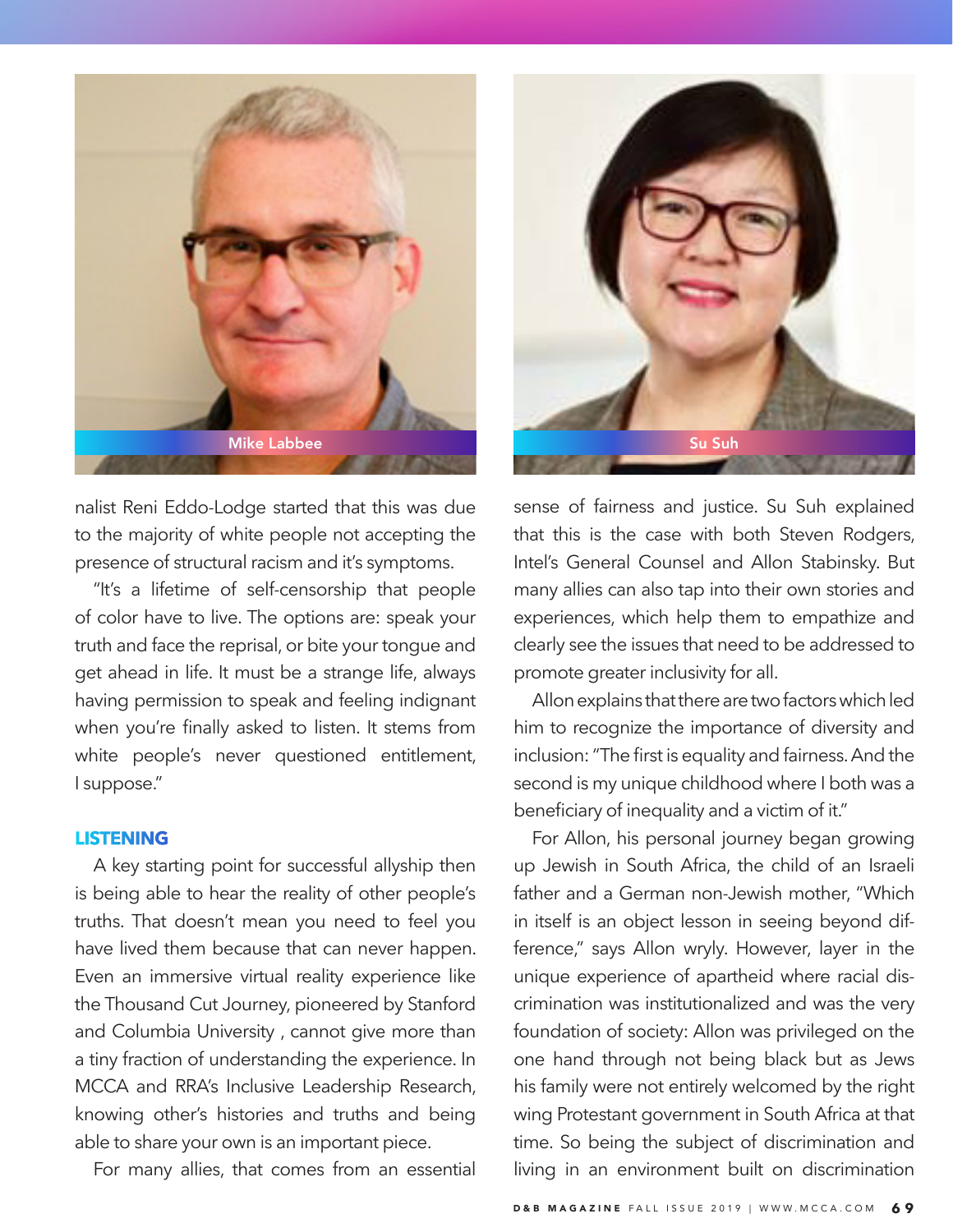

nalist Reni Eddo-Lodge started that this was due to the majority of white people not accepting the presence of structural racism and it's symptoms.

"It's a lifetime of self-censorship that people of color have to live. The options are: speak your truth and face the reprisal, or bite your tongue and get ahead in life. It must be a strange life, always having permission to speak and feeling indignant when you're finally asked to listen. It stems from white people's never questioned entitlement, I suppose."

### **LISTENING**

A key starting point for successful allyship then is being able to hear the reality of other people's truths. That doesn't mean you need to feel you have lived them because that can never happen. Even an immersive virtual reality experience like the Thousand Cut Journey, pioneered by Stanford and Columbia University , cannot give more than a tiny fraction of understanding the experience. In MCCA and RRA's Inclusive Leadership Research, knowing other's histories and truths and being able to share your own is an important piece.

For many allies, that comes from an essential



sense of fairness and justice. Su Suh explained that this is the case with both Steven Rodgers, Intel's General Counsel and Allon Stabinsky. But many allies can also tap into their own stories and experiences, which help them to empathize and clearly see the issues that need to be addressed to promote greater inclusivity for all.

Allon explains that there are two factors which led him to recognize the importance of diversity and inclusion: "The first is equality and fairness. And the second is my unique childhood where I both was a beneficiary of inequality and a victim of it."

For Allon, his personal journey began growing up Jewish in South Africa, the child of an Israeli father and a German non-Jewish mother, "Which in itself is an object lesson in seeing beyond difference," says Allon wryly. However, layer in the unique experience of apartheid where racial discrimination was institutionalized and was the very foundation of society: Allon was privileged on the one hand through not being black but as Jews his family were not entirely welcomed by the right wing Protestant government in South Africa at that time. So being the subject of discrimination and living in an environment built on discrimination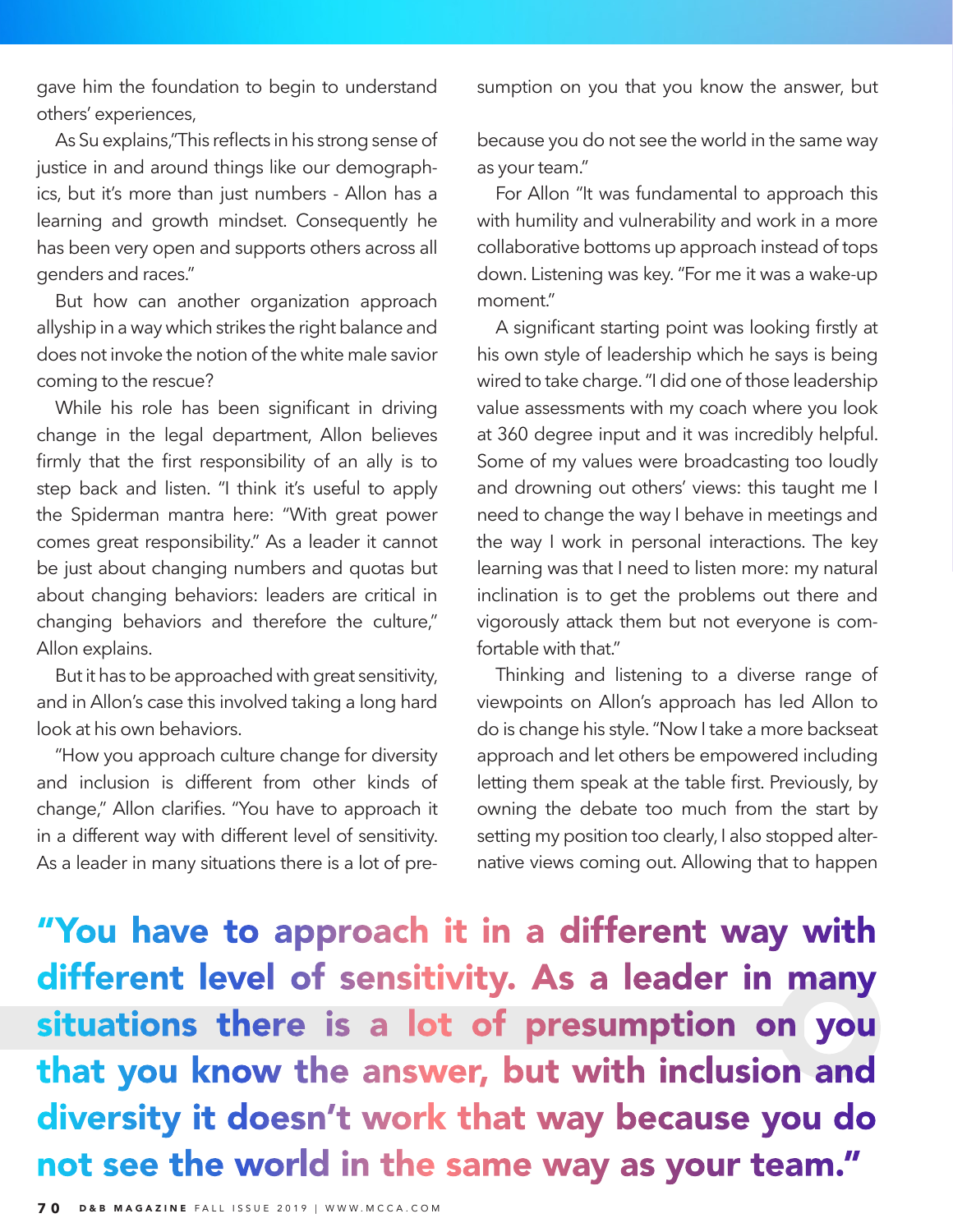gave him the foundation to begin to understand others' experiences,

As Su explains,"This reflects in his strong sense of justice in and around things like our demographics, but it's more than just numbers - Allon has a learning and growth mindset. Consequently he has been very open and supports others across all genders and races."

But how can another organization approach allyship in a way which strikes the right balance and does not invoke the notion of the white male savior coming to the rescue?

While his role has been significant in driving change in the legal department, Allon believes firmly that the first responsibility of an ally is to step back and listen. "I think it's useful to apply the Spiderman mantra here: "With great power comes great responsibility." As a leader it cannot be just about changing numbers and quotas but about changing behaviors: leaders are critical in changing behaviors and therefore the culture," Allon explains.

But it has to be approached with great sensitivity, and in Allon's case this involved taking a long hard look at his own behaviors.

"How you approach culture change for diversity and inclusion is different from other kinds of change," Allon clarifies. "You have to approach it in a different way with different level of sensitivity. As a leader in many situations there is a lot of presumption on you that you know the answer, but

because you do not see the world in the same way as your team."

For Allon "It was fundamental to approach this with humility and vulnerability and work in a more collaborative bottoms up approach instead of tops down. Listening was key. "For me it was a wake-up moment."

A significant starting point was looking firstly at his own style of leadership which he says is being wired to take charge. "I did one of those leadership value assessments with my coach where you look at 360 degree input and it was incredibly helpful. Some of my values were broadcasting too loudly and drowning out others' views: this taught me I need to change the way I behave in meetings and the way I work in personal interactions. The key learning was that I need to listen more: my natural inclination is to get the problems out there and vigorously attack them but not everyone is comfortable with that."

Thinking and listening to a diverse range of viewpoints on Allon's approach has led Allon to do is change his style. "Now I take a more backseat approach and let others be empowered including letting them speak at the table first. Previously, by owning the debate too much from the start by setting my position too clearly, I also stopped alternative views coming out. Allowing that to happen

"You have to approach it in a different way with different level of sensitivity. As a leader in many situations there is a lot of presumption on you that you know the answer, but with inclusion and diversity it doesn't work that way because you do not see the world in the same way as your team."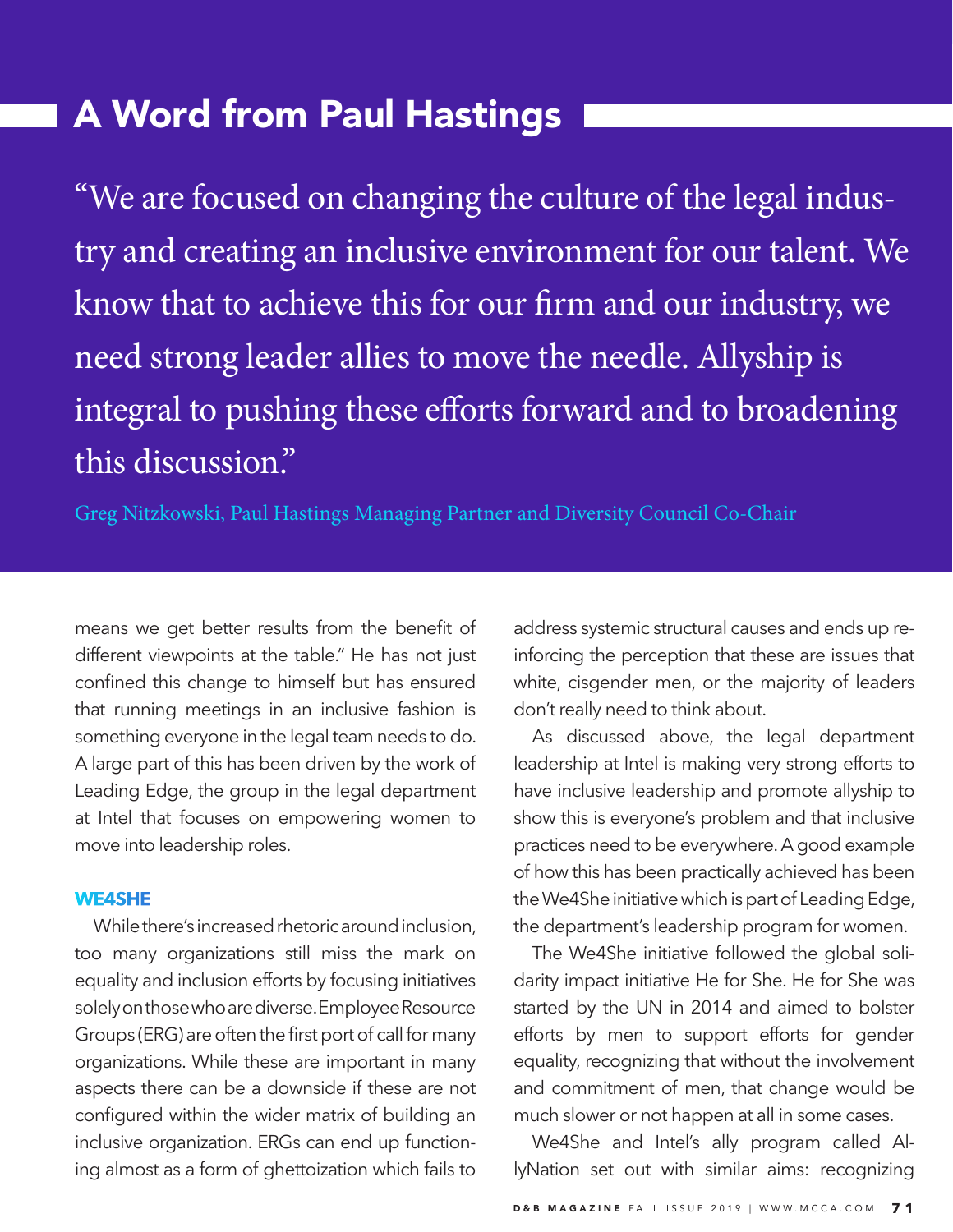# A Word from Paul Hastings

"We are focused on changing the culture of the legal industry and creating an inclusive environment for our talent. We know that to achieve this for our firm and our industry, we need strong leader allies to move the needle. Allyship is integral to pushing these efforts forward and to broadening this discussion."

Greg Nitzkowski, Paul Hastings Managing Partner and Diversity Council Co-Chair

means we get better results from the benefit of different viewpoints at the table." He has not just confined this change to himself but has ensured that running meetings in an inclusive fashion is something everyone in the legal team needs to do. A large part of this has been driven by the work of Leading Edge, the group in the legal department at Intel that focuses on empowering women to move into leadership roles.

## **WE4SHE**

While there's increased rhetoric around inclusion, too many organizations still miss the mark on equality and inclusion efforts by focusing initiatives solely on those who are diverse. Employee Resource Groups (ERG) are often the first port of call for many organizations. While these are important in many aspects there can be a downside if these are not configured within the wider matrix of building an inclusive organization. ERGs can end up functioning almost as a form of ghettoization which fails to

address systemic structural causes and ends up reinforcing the perception that these are issues that white, cisgender men, or the majority of leaders don't really need to think about.

As discussed above, the legal department leadership at Intel is making very strong efforts to have inclusive leadership and promote allyship to show this is everyone's problem and that inclusive practices need to be everywhere. A good example of how this has been practically achieved has been the We4She initiative which is part of Leading Edge, the department's leadership program for women.

The We4She initiative followed the global solidarity impact initiative He for She. He for She was started by the UN in 2014 and aimed to bolster efforts by men to support efforts for gender equality, recognizing that without the involvement and commitment of men, that change would be much slower or not happen at all in some cases.

We4She and Intel's ally program called AllyNation set out with similar aims: recognizing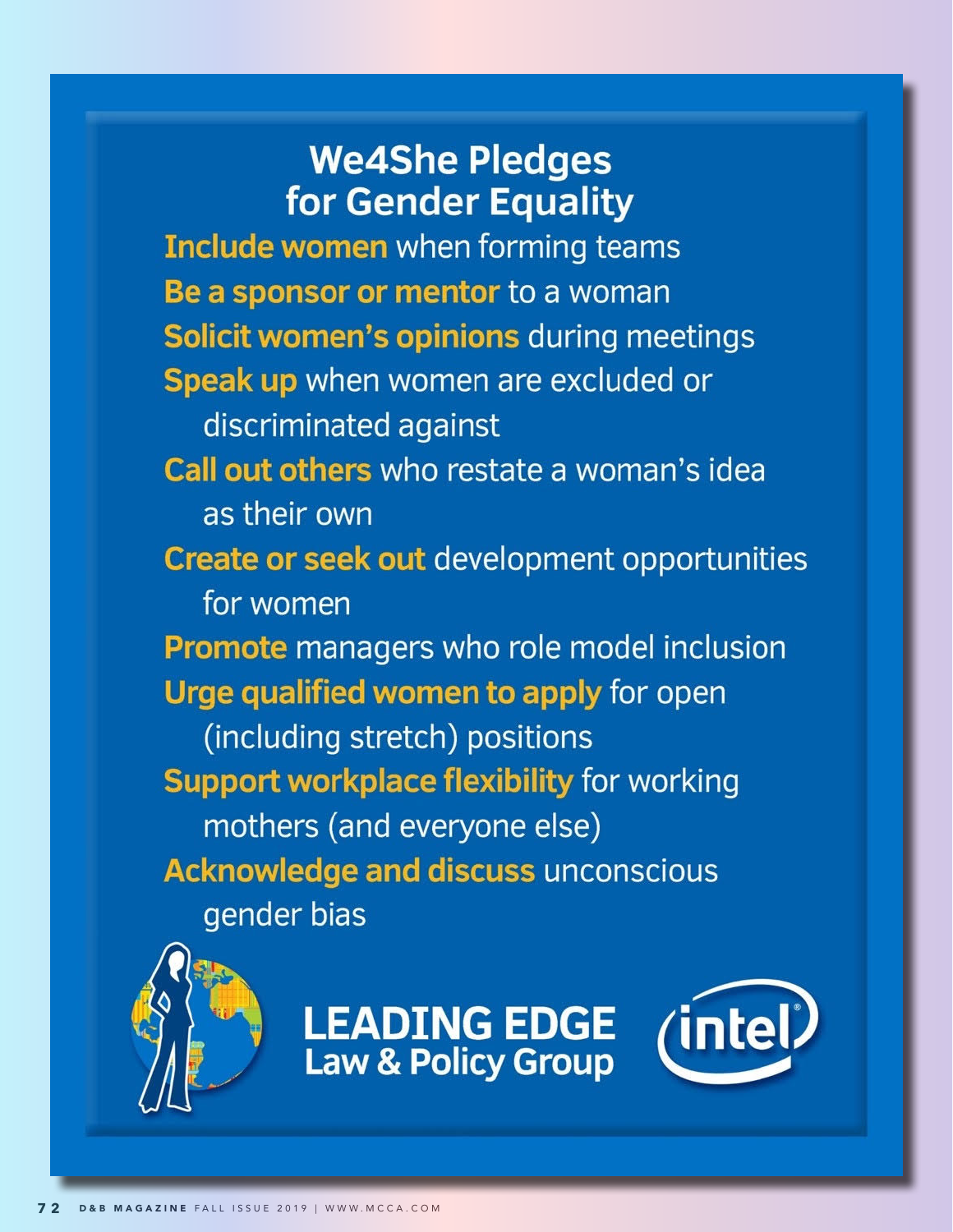# **We4She Pledges** for Gender Equality

**Include women** when forming teams Be a sponsor or mentor to a woman Solicit women's opinions during meetings Speak up when women are excluded or discriminated against Call out others who restate a woman's idea as their own **Create or seek out development opportunities** for women Promote managers who role model inclusion Urge qualified women to apply for open (including stretch) positions **Support workplace flexibility for working** mothers (and everyone else) **Acknowledge and discuss unconscious** gender bias



**LEADING EDGE Law & Policy Group** 

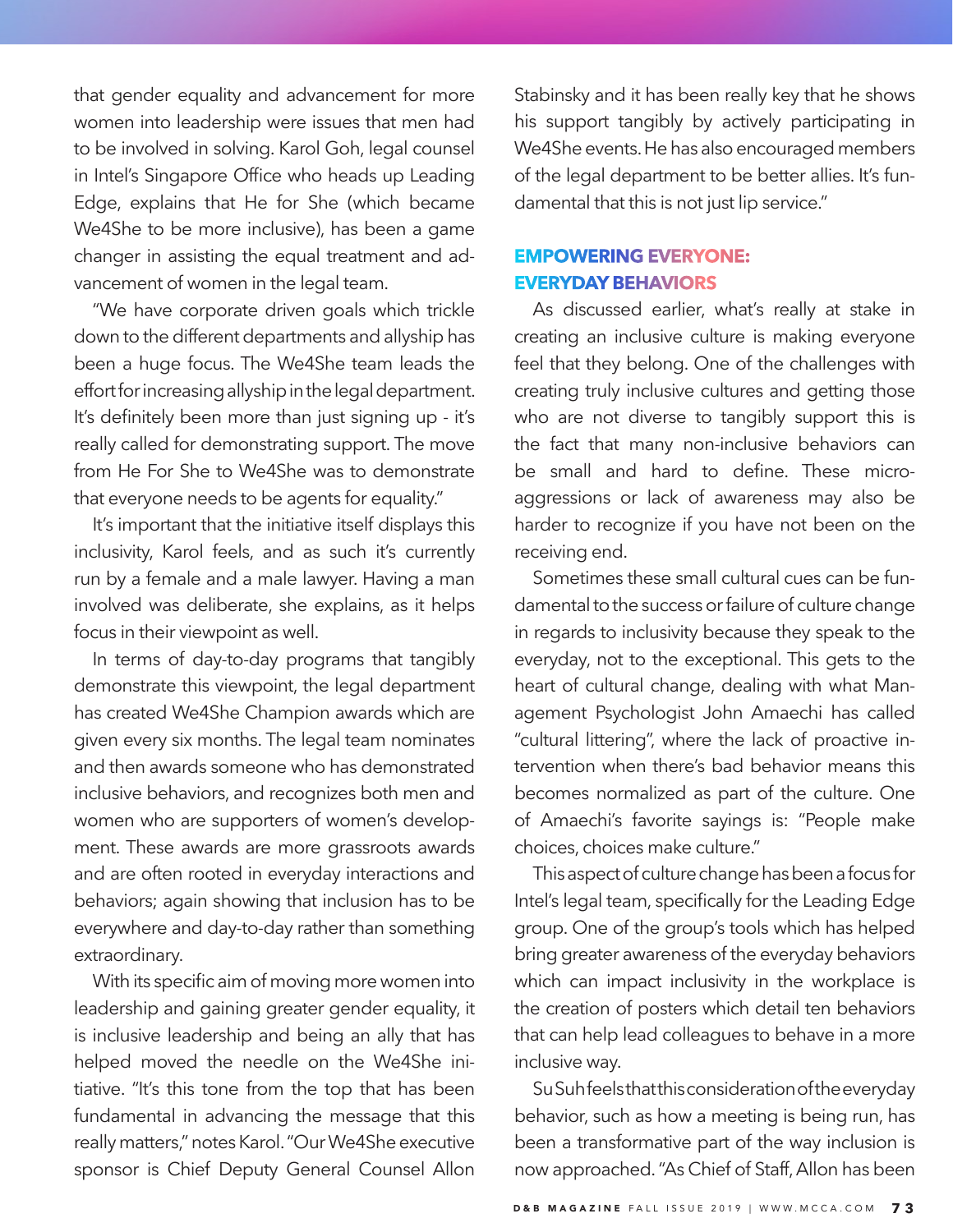that gender equality and advancement for more women into leadership were issues that men had to be involved in solving. Karol Goh, legal counsel in Intel's Singapore Office who heads up Leading Edge, explains that He for She (which became We4She to be more inclusive), has been a game changer in assisting the equal treatment and advancement of women in the legal team.

"We have corporate driven goals which trickle down to the different departments and allyship has been a huge focus. The We4She team leads the effort for increasing allyship in the legal department. It's definitely been more than just signing up - it's really called for demonstrating support. The move from He For She to We4She was to demonstrate that everyone needs to be agents for equality."

It's important that the initiative itself displays this inclusivity, Karol feels, and as such it's currently run by a female and a male lawyer. Having a man involved was deliberate, she explains, as it helps focus in their viewpoint as well.

In terms of day-to-day programs that tangibly demonstrate this viewpoint, the legal department has created We4She Champion awards which are given every six months. The legal team nominates and then awards someone who has demonstrated inclusive behaviors, and recognizes both men and women who are supporters of women's development. These awards are more grassroots awards and are often rooted in everyday interactions and behaviors; again showing that inclusion has to be everywhere and day-to-day rather than something extraordinary.

With its specific aim of moving more women into leadership and gaining greater gender equality, it is inclusive leadership and being an ally that has helped moved the needle on the We4She initiative. "It's this tone from the top that has been fundamental in advancing the message that this really matters," notes Karol. "Our We4She executive sponsor is Chief Deputy General Counsel Allon

Stabinsky and it has been really key that he shows his support tangibly by actively participating in We4She events. He has also encouraged members of the legal department to be better allies. It's fundamental that this is not just lip service."

# **EMPOWERING EVERYONE: EVERYDAY BEHAVIORS**

As discussed earlier, what's really at stake in creating an inclusive culture is making everyone feel that they belong. One of the challenges with creating truly inclusive cultures and getting those who are not diverse to tangibly support this is the fact that many non-inclusive behaviors can be small and hard to define. These microaggressions or lack of awareness may also be harder to recognize if you have not been on the receiving end.

Sometimes these small cultural cues can be fundamental to the success or failure of culture change in regards to inclusivity because they speak to the everyday, not to the exceptional. This gets to the heart of cultural change, dealing with what Management Psychologist John Amaechi has called "cultural littering", where the lack of proactive intervention when there's bad behavior means this becomes normalized as part of the culture. One of Amaechi's favorite sayings is: "People make choices, choices make culture."

This aspect of culture change has been a focus for Intel's legal team, specifically for the Leading Edge group. One of the group's tools which has helped bring greater awareness of the everyday behaviors which can impact inclusivity in the workplace is the creation of posters which detail ten behaviors that can help lead colleagues to behave in a more inclusive way.

Su Suh feels that this consideration of the everyday behavior, such as how a meeting is being run, has been a transformative part of the way inclusion is now approached. "As Chief of Staff, Allon has been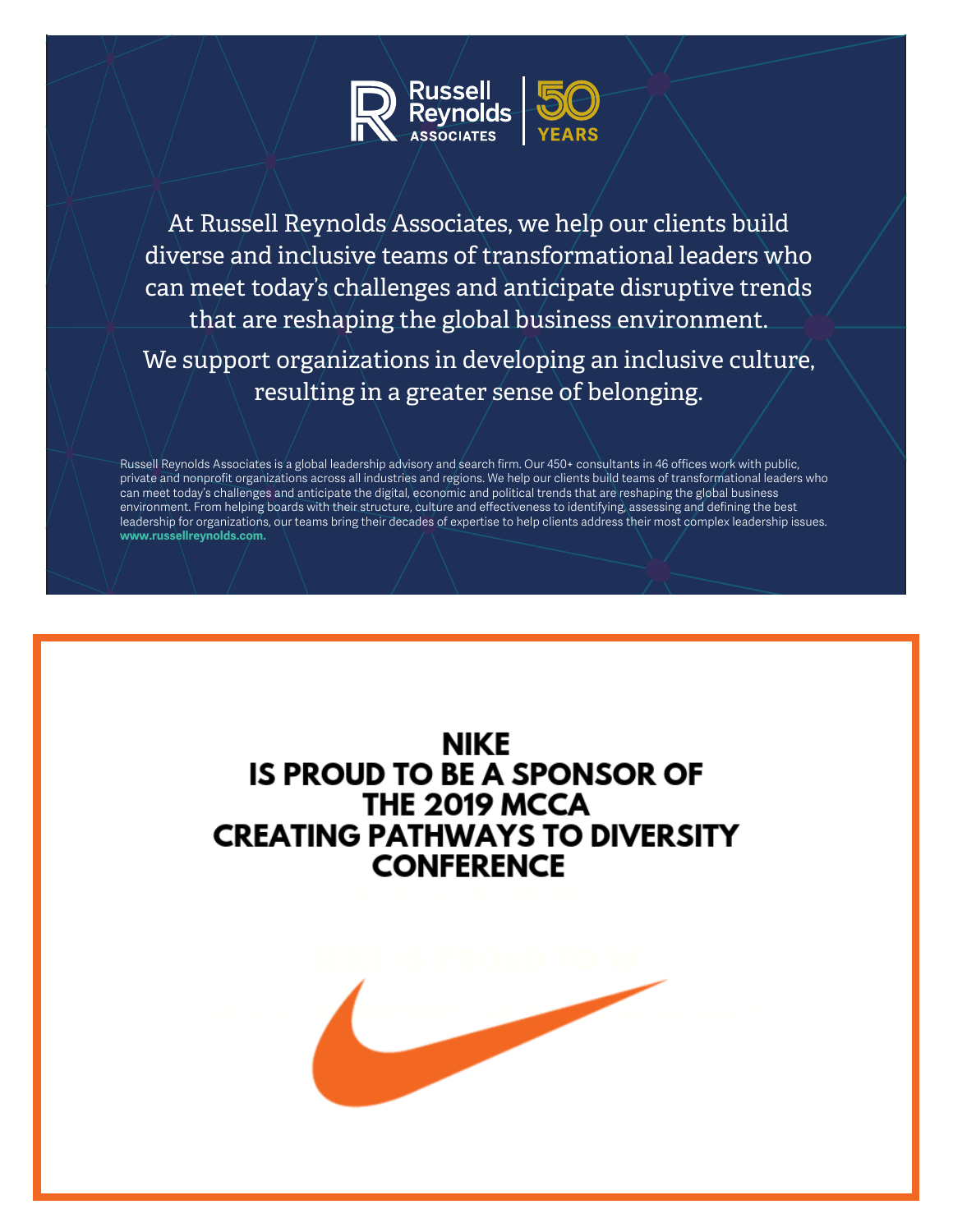

At Russell Reynolds Associates, we help our clients build diverse and inclusive teams of transformational leaders who can meet today's challenges and anticipate disruptive trends that are reshaping the global business environment.

We support organizations in developing an inclusive culture, resulting in a greater sense of belonging.

Russell Reynolds Associates is a global leadership advisory and search firm. Our 450+ consultants in 46 offices work with public, private and nonprofit organizations across all industries and regions. We help our clients build teams of transformational leaders who can meet today's challenges and anticipate the digital, economic and political trends that are reshaping the global business environment. From helping boards with their structure, culture and effectiveness to identifying, assessing and defining the best leadership for organizations, our teams bring their decades of expertise to help clients address their most complex leadership issues. **www.russellreynolds.com.**